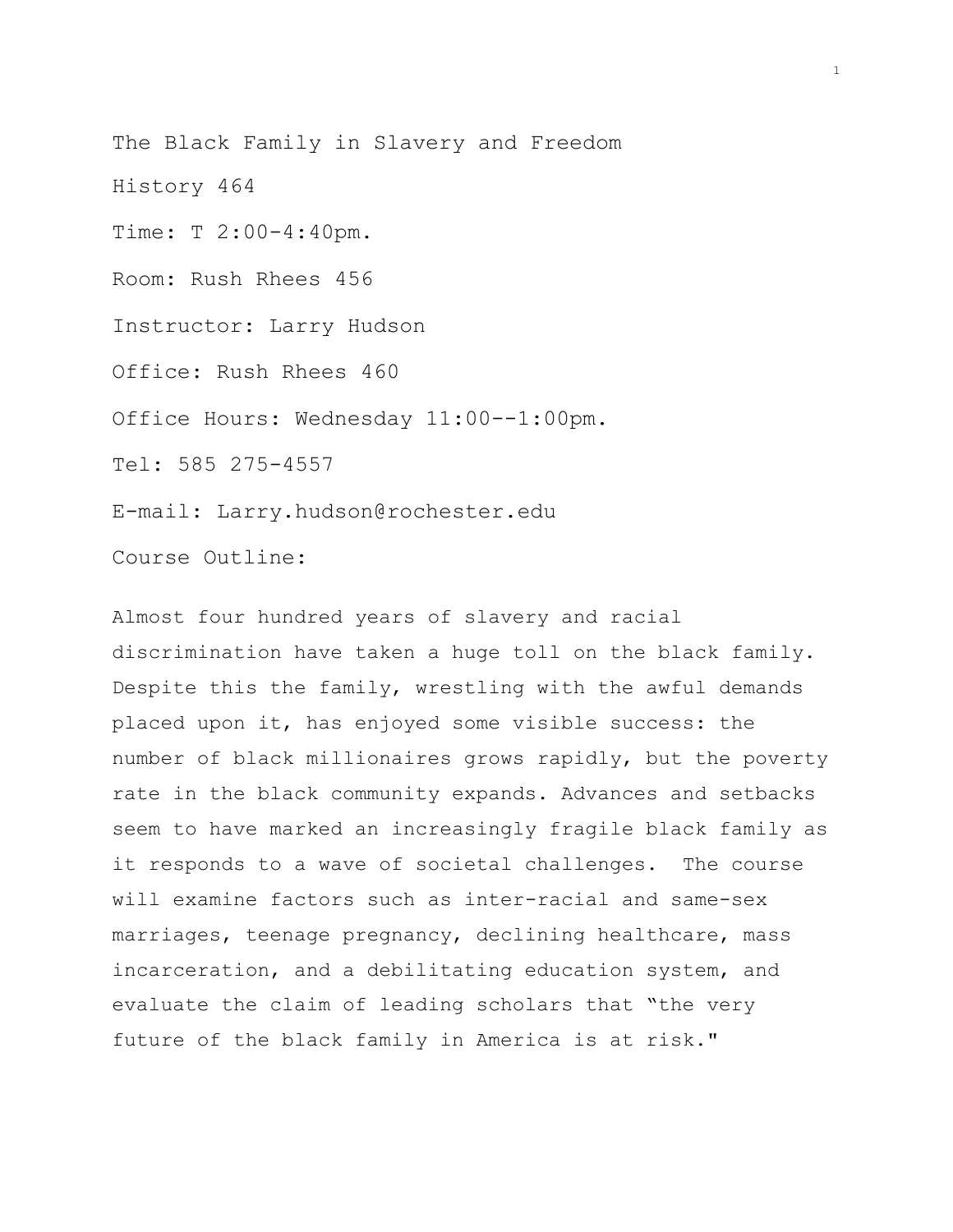The Black Family in Slavery and Freedom

History 464

Time: T 2:00-4:40pm.

Room: Rush Rhees 456

Instructor: Larry Hudson

Office: Rush Rhees 460

Office Hours: Wednesday 11:00--1:00pm.

Tel: 585 275-4557

E-mail: Larry.hudson@rochester.edu

Course Outline:

Almost four hundred years of slavery and racial discrimination have taken a huge toll on the black family. Despite this the family, wrestling with the awful demands placed upon it, has enjoyed some visible success: the number of black millionaires grows rapidly, but the poverty rate in the black community expands. Advances and setbacks seem to have marked an increasingly fragile black family as it responds to a wave of societal challenges. The course will examine factors such as inter-racial and same-sex marriages, teenage pregnancy, declining healthcare, mass incarceration, and a debilitating education system, and evaluate the claim of leading scholars that "the very future of the black family in America is at risk."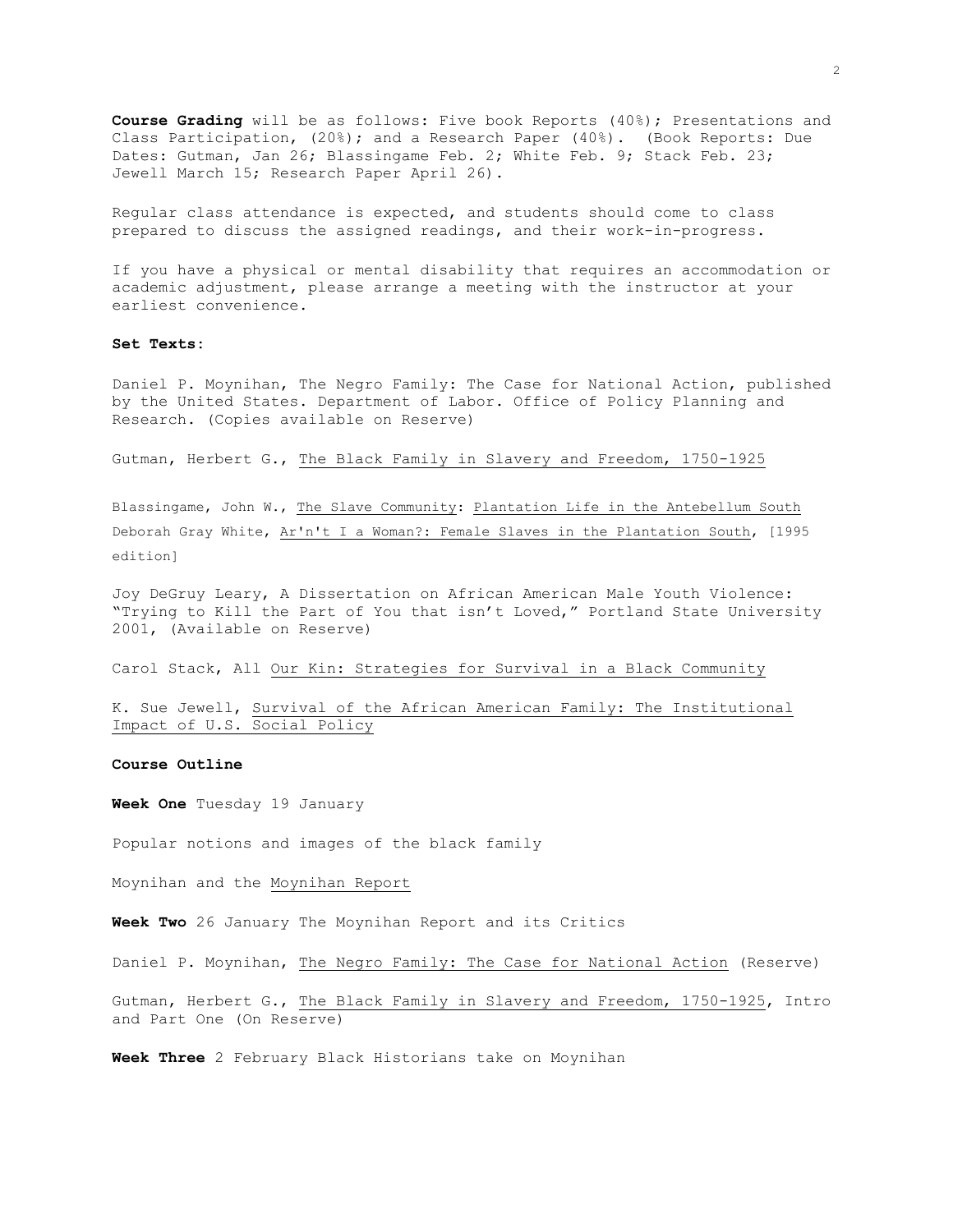**Course Grading** will be as follows: Five book Reports (40%); Presentations and Class Participation, (20%); and a Research Paper (40%). (Book Reports: Due Dates: Gutman, Jan 26; Blassingame Feb. 2; White Feb. 9; Stack Feb. 23; Jewell March 15; Research Paper April 26).

Regular class attendance is expected, and students should come to class prepared to discuss the assigned readings, and their work-in-progress.

If you have a physical or mental disability that requires an accommodation or academic adjustment, please arrange a meeting with the instructor at your earliest convenience.

## **Set Texts:**

Daniel P. Moynihan, The Negro Family: The Case for National Action, published by the United States. Department of Labor. Office of Policy Planning and Research. (Copies available on Reserve)

Gutman, Herbert G., The Black Family in Slavery and Freedom, 1750-1925

Blassingame, John W., The Slave Community: Plantation Life in the Antebellum South Deborah Gray White, Ar'n't I a Woman?: Female Slaves in the Plantation South, [1995 edition]

Joy DeGruy Leary, A Dissertation on African American Male Youth Violence: "Trying to Kill the Part of You that isn't Loved," Portland State University 2001, (Available on Reserve)

Carol Stack, All Our Kin: Strategies for Survival in a Black Community

K. Sue Jewell, Survival of the African American Family: The Institutional Impact of U.S. Social Policy

## **Course Outline**

**Week One** Tuesday 19 January

Popular notions and images of the black family

Moynihan and the Moynihan Report

**Week Two** 26 January The Moynihan Report and its Critics

Daniel P. Moynihan, The Negro Family: The Case for National Action (Reserve)

Gutman, Herbert G., The Black Family in Slavery and Freedom, 1750-1925, Intro and Part One (On Reserve)

**Week Three** 2 February Black Historians take on Moynihan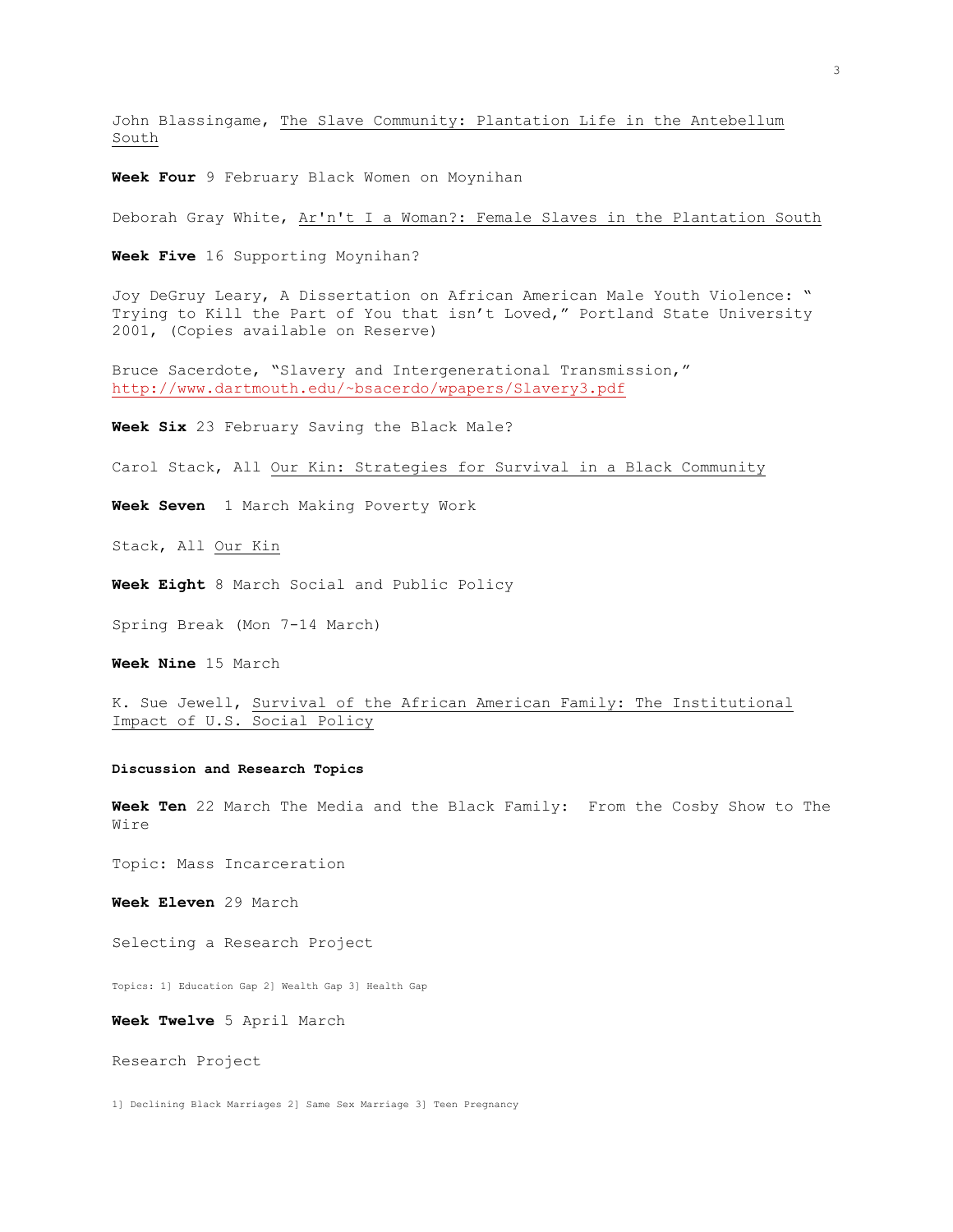John Blassingame, The Slave Community: Plantation Life in the Antebellum South

**Week Four** 9 February Black Women on Moynihan

Deborah Gray White, Ar'n't I a Woman?: Female Slaves in the Plantation South

**Week Five** 16 Supporting Moynihan?

Joy DeGruy Leary, A Dissertation on African American Male Youth Violence: " Trying to Kill the Part of You that isn't Loved," Portland State University 2001, (Copies available on Reserve)

Bruce Sacerdote, "Slavery and Intergenerational Transmission," <http://www.dartmouth.edu/~bsacerdo/wpapers/Slavery3.pdf>

**Week Six** 23 February Saving the Black Male?

Carol Stack, All Our Kin: Strategies for Survival in a Black Community

**Week Seven** 1 March Making Poverty Work

Stack, All Our Kin

**Week Eight** 8 March Social and Public Policy

Spring Break (Mon 7-14 March)

**Week Nine** 15 March

K. Sue Jewell, Survival of the African American Family: The Institutional Impact of U.S. Social Policy

## **Discussion and Research Topics**

**Week Ten** 22 March The Media and the Black Family: From the Cosby Show to The Wire

Topic: Mass Incarceration

**Week Eleven** 29 March

Selecting a Research Project

Topics: 1] Education Gap 2] Wealth Gap 3] Health Gap

**Week Twelve** 5 April March

Research Project

1] Declining Black Marriages 2] Same Sex Marriage 3] Teen Pregnancy